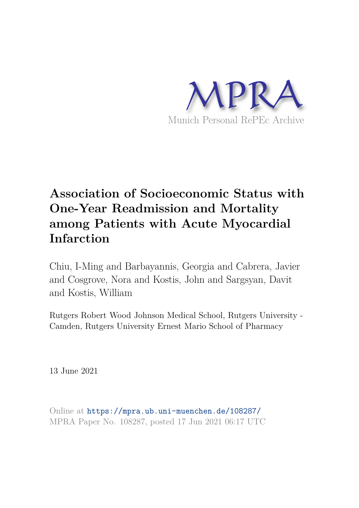

# **Association of Socioeconomic Status with One-Year Readmission and Mortality among Patients with Acute Myocardial Infarction**

Chiu, I-Ming and Barbayannis, Georgia and Cabrera, Javier and Cosgrove, Nora and Kostis, John and Sargsyan, Davit and Kostis, William

Rutgers Robert Wood Johnson Medical School, Rutgers University - Camden, Rutgers University Ernest Mario School of Pharmacy

13 June 2021

Online at https://mpra.ub.uni-muenchen.de/108287/ MPRA Paper No. 108287, posted 17 Jun 2021 06:17 UTC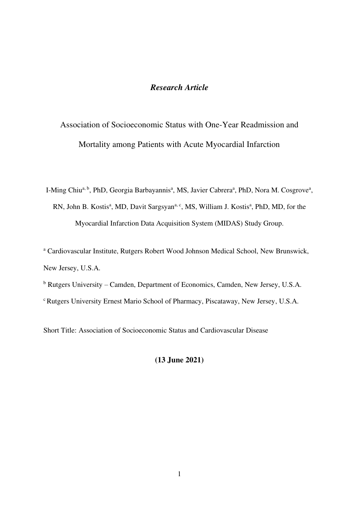# *Research Article*

Association of Socioeconomic Status with One-Year Readmission and Mortality among Patients with Acute Myocardial Infarction

I-Ming Chiu<sup>a, b</sup>, PhD, Georgia Barbayannis<sup>a</sup>, MS, Javier Cabrera<sup>a</sup>, PhD, Nora M. Cosgrove<sup>a</sup>, RN, John B. Kostis<sup>a</sup>, MD, Davit Sargsyan<sup>a, c</sup>, MS, William J. Kostis<sup>a</sup>, PhD, MD, for the Myocardial Infarction Data Acquisition System (MIDAS) Study Group.

<sup>a</sup> Cardiovascular Institute, Rutgers Robert Wood Johnson Medical School, New Brunswick, New Jersey, U.S.A.

<sup>b</sup> Rutgers University – Camden, Department of Economics, Camden, New Jersey, U.S.A. <sup>c</sup> Rutgers University Ernest Mario School of Pharmacy, Piscataway, New Jersey, U.S.A.

Short Title: Association of Socioeconomic Status and Cardiovascular Disease

**(13 June 2021)**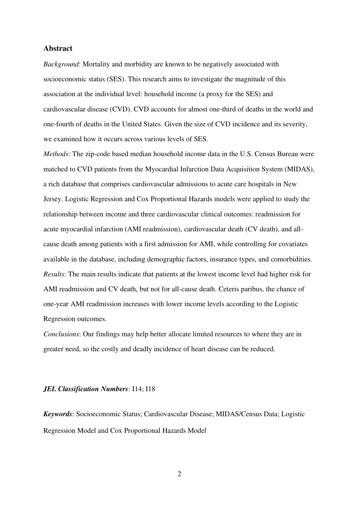### **Abstract**

*Background*: Mortality and morbidity are known to be negatively associated with socioeconomic status (SES). This research aims to investigate the magnitude of this association at the individual level: household income (a proxy for the SES) and cardiovascular disease (CVD). CVD accounts for almost one-third of deaths in the world and one-fourth of deaths in the United States. Given the size of CVD incidence and its severity, we examined how it occurs across various levels of SES.

*Methods*: The zip-code based median household income data in the U.S. Census Bureau were matched to CVD patients from the Myocardial Infarction Data Acquisition System (MIDAS), a rich database that comprises cardiovascular admissions to acute care hospitals in New Jersey. Logistic Regression and Cox Proportional Hazards models were applied to study the relationship between income and three cardiovascular clinical outcomes: readmission for acute myocardial infarction (AMI readmission), cardiovascular death (CV death), and allcause death among patients with a first admission for AMI, while controlling for covariates available in the database, including demographic factors, insurance types, and comorbidities. *Results*: The main results indicate that patients at the lowest income level had higher risk for AMI readmission and CV death, but not for all-cause death. Ceteris paribus, the chance of one-year AMI readmission increases with lower income levels according to the Logistic Regression outcomes.

*Conclusions*: Our findings may help better allocate limited resources to where they are in greater need, so the costly and deadly incidence of heart disease can be reduced.

#### *JEL Classification Numbers*: I14; I18

*Keywords*: Socioeconomic Status; Cardiovascular Disease; MIDAS/Census Data; Logistic Regression Model and Cox Proportional Hazards Model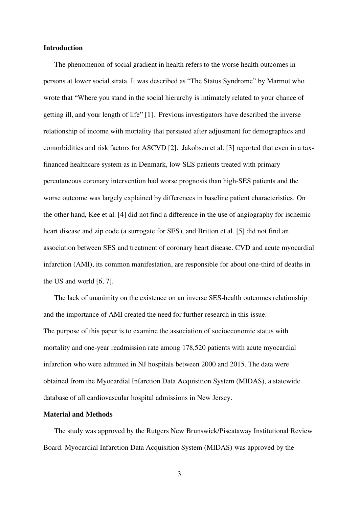#### **Introduction**

The phenomenon of social gradient in health refers to the worse health outcomes in persons at lower social strata. It was described as "The Status Syndrome" by Marmot who wrote that "Where you stand in the social hierarchy is intimately related to your chance of getting ill, and your length of life" [1]. Previous investigators have described the inverse relationship of income with mortality that persisted after adjustment for demographics and comorbidities and risk factors for ASCVD [2]. Jakobsen et al. [3] reported that even in a taxfinanced healthcare system as in Denmark, low-SES patients treated with primary percutaneous coronary intervention had worse prognosis than high-SES patients and the worse outcome was largely explained by differences in baseline patient characteristics. On the other hand, Kee et al. [4] did not find a difference in the use of angiography for ischemic heart disease and zip code (a surrogate for SES), and Britton et al. [5] did not find an association between SES and treatment of coronary heart disease. CVD and acute myocardial infarction (AMI), its common manifestation, are responsible for about one-third of deaths in the US and world [6, 7].

The lack of unanimity on the existence on an inverse SES-health outcomes relationship and the importance of AMI created the need for further research in this issue. The purpose of this paper is to examine the association of socioeconomic status with mortality and one-year readmission rate among 178,520 patients with acute myocardial infarction who were admitted in NJ hospitals between 2000 and 2015. The data were obtained from the Myocardial Infarction Data Acquisition System (MIDAS), a statewide database of all cardiovascular hospital admissions in New Jersey.

## **Material and Methods**

 The study was approved by the Rutgers New Brunswick/Piscataway Institutional Review Board. Myocardial Infarction Data Acquisition System (MIDAS) was approved by the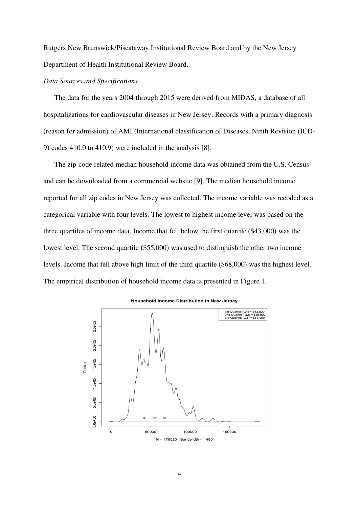Rutgers New Brunswick/Piscataway Institutional Review Board and by the New Jersey Department of Health Institutional Review Board.

#### *Data Sources and Specifications*

 The data for the years 2004 through 2015 were derived from MIDAS, a database of all hospitalizations for cardiovascular diseases in New Jersey. Records with a primary diagnosis (reason for admission) of AMI (International classification of Diseases, Ninth Revision (ICD-9) codes 410.0 to 410.9) were included in the analysis [8].

The zip-code related median household income data was obtained from the U.S. Census and can be downloaded from a commercial website [9]. The median household income reported for all zip codes in New Jersey was collected. The income variable was recoded as a categorical variable with four levels. The lowest to highest income level was based on the three quartiles of income data. Income that fell below the first quartile (\$43,000) was the lowest level. The second quartile (\$55,000) was used to distinguish the other two income levels. Income that fell above high limit of the third quartile (\$68,000) was the highest level. The empirical distribution of household income data is presented in Figure 1.



Household Income Distribution in New Jersey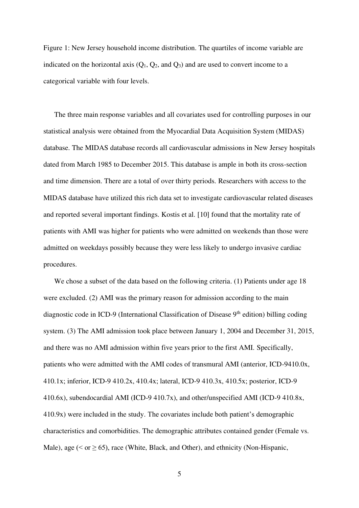Figure 1: New Jersey household income distribution. The quartiles of income variable are indicated on the horizontal axis  $(Q_1, Q_2,$  and  $Q_3)$  and are used to convert income to a categorical variable with four levels.

The three main response variables and all covariates used for controlling purposes in our statistical analysis were obtained from the Myocardial Data Acquisition System (MIDAS) database. The MIDAS database records all cardiovascular admissions in New Jersey hospitals dated from March 1985 to December 2015. This database is ample in both its cross-section and time dimension. There are a total of over thirty periods. Researchers with access to the MIDAS database have utilized this rich data set to investigate cardiovascular related diseases and reported several important findings. Kostis et al. [10] found that the mortality rate of patients with AMI was higher for patients who were admitted on weekends than those were admitted on weekdays possibly because they were less likely to undergo invasive cardiac procedures.

We chose a subset of the data based on the following criteria. (1) Patients under age 18 were excluded. (2) AMI was the primary reason for admission according to the main diagnostic code in ICD-9 (International Classification of Disease  $9<sup>th</sup>$  edition) billing coding system. (3) The AMI admission took place between January 1, 2004 and December 31, 2015, and there was no AMI admission within five years prior to the first AMI. Specifically, patients who were admitted with the AMI codes of transmural AMI (anterior, ICD-9410.0x, 410.1x; inferior, ICD-9 410.2x, 410.4x; lateral, ICD-9 410.3x, 410.5x; posterior, ICD-9 410.6x), subendocardial AMI (ICD-9 410.7x), and other/unspecified AMI (ICD-9 410.8x, 410.9x) were included in the study. The covariates include both patient's demographic characteristics and comorbidities. The demographic attributes contained gender (Female vs. Male), age ( $\le$  or  $\ge$  65), race (White, Black, and Other), and ethnicity (Non-Hispanic,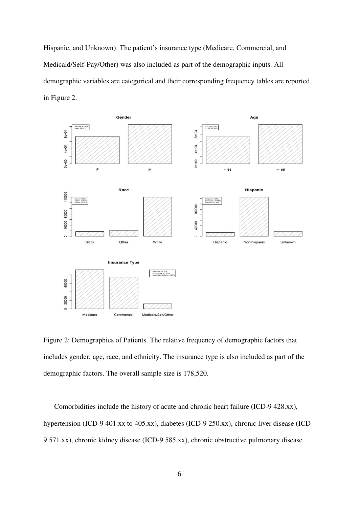Hispanic, and Unknown). The patient's insurance type (Medicare, Commercial, and Medicaid/Self-Pay/Other) was also included as part of the demographic inputs. All demographic variables are categorical and their corresponding frequency tables are reported in Figure 2.



Figure 2: Demographics of Patients. The relative frequency of demographic factors that includes gender, age, race, and ethnicity. The insurance type is also included as part of the demographic factors. The overall sample size is 178,520.

Comorbidities include the history of acute and chronic heart failure (ICD-9 428.xx), hypertension (ICD-9 401.xx to 405.xx), diabetes (ICD-9 250.xx), chronic liver disease (ICD-9 571.xx), chronic kidney disease (ICD-9 585.xx), chronic obstructive pulmonary disease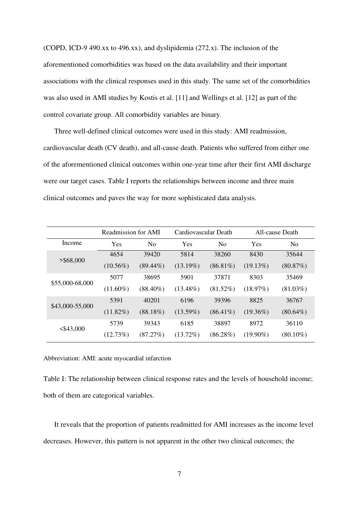(COPD, ICD-9 490.xx to 496.xx), and dyslipidemia (272.x). The inclusion of the aforementioned comorbidities was based on the data availability and their important associations with the clinical responses used in this study. The same set of the comorbidities was also used in AMI studies by Kostis et al. [11] and Wellings et al. [12] as part of the control covariate group. All comorbidity variables are binary.

Three well-defined clinical outcomes were used in this study: AMI readmission, cardiovascular death (CV death), and all-cause death. Patients who suffered from either one of the aforementioned clinical outcomes within one-year time after their first AMI discharge were our target cases. Table I reports the relationships between income and three main clinical outcomes and paves the way for more sophisticated data analysis.

|                 | Readmission for AMI   |             | Cardiovascular Death |                | All-cause Death |                |  |
|-----------------|-----------------------|-------------|----------------------|----------------|-----------------|----------------|--|
| Income          | Yes<br>N <sub>0</sub> |             | Yes                  | N <sub>0</sub> | Yes             | N <sub>0</sub> |  |
| $>$ \$68,000    | 4654                  | 39420       | 5814                 | 38260          | 8430            | 35644          |  |
|                 | $(10.56\%)$           | $(89.44\%)$ | $(13.19\%)$          | $(86.81\%)$    | (19.13%)        | $(80.87\%)$    |  |
| \$55,000-68,000 | 5077                  | 38695       | 5901                 | 37871          | 8303            | 35469          |  |
|                 | $(11.60\%)$           | $(88.40\%)$ | $(13.48\%)$          | (81.52%)       | (18.97%)        | $(81.03\%)$    |  |
| \$43,000-55,000 | 5391                  | 40201       | 6196                 | 39396          | 8825            | 36767          |  |
|                 | $(11.82\%)$           | $(88.18\%)$ | $(13.59\%)$          | $(86.41\%)$    | $(19.36\%)$     | $(80.64\%)$    |  |
| $<$ \$43,000    | 5739                  | 39343       | 6185                 | 38897          | 8972            | 36110          |  |
|                 | (12.73%)              | (87.27%)    | $(13.72\%)$          | $(86.28\%)$    | $(19.90\%)$     | $(80.10\%)$    |  |

Abbreviation: AMI: acute myocardial infarction

Table I: The relationship between clinical response rates and the levels of household income; both of them are categorical variables.

It reveals that the proportion of patients readmitted for AMI increases as the income level decreases. However, this pattern is not apparent in the other two clinical outcomes; the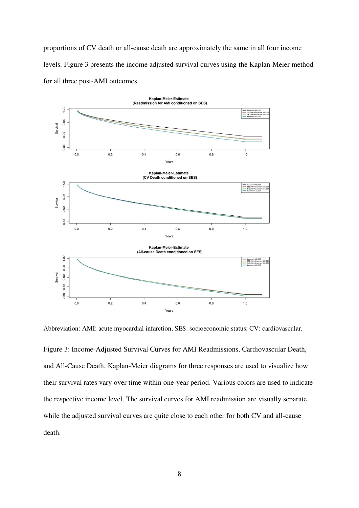proportions of CV death or all-cause death are approximately the same in all four income levels. Figure 3 presents the income adjusted survival curves using the Kaplan-Meier method for all three post-AMI outcomes.



Abbreviation: AMI: acute myocardial infarction, SES: socioeconomic status; CV: cardiovascular.

Figure 3: Income-Adjusted Survival Curves for AMI Readmissions, Cardiovascular Death, and All-Cause Death. Kaplan-Meier diagrams for three responses are used to visualize how their survival rates vary over time within one-year period. Various colors are used to indicate the respective income level. The survival curves for AMI readmission are visually separate, while the adjusted survival curves are quite close to each other for both CV and all-cause death.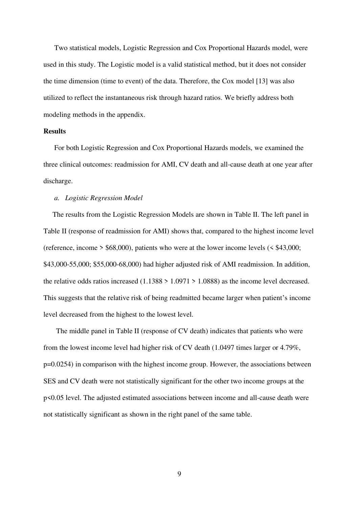Two statistical models, Logistic Regression and Cox Proportional Hazards model, were used in this study. The Logistic model is a valid statistical method, but it does not consider the time dimension (time to event) of the data. Therefore, the Cox model [13] was also utilized to reflect the instantaneous risk through hazard ratios. We briefly address both modeling methods in the appendix.

## **Results**

 For both Logistic Regression and Cox Proportional Hazards models, we examined the three clinical outcomes: readmission for AMI, CV death and all-cause death at one year after discharge.

#### *a. Logistic Regression Model*

 The results from the Logistic Regression Models are shown in Table II. The left panel in Table II (response of readmission for AMI) shows that, compared to the highest income level (reference, income  $>$  \$68,000), patients who were at the lower income levels ( $\le$  \$43,000; \$43,000-55,000; \$55,000-68,000) had higher adjusted risk of AMI readmission. In addition, the relative odds ratios increased  $(1.1388 > 1.0971 > 1.0888)$  as the income level decreased. This suggests that the relative risk of being readmitted became larger when patient's income level decreased from the highest to the lowest level.

 The middle panel in Table II (response of CV death) indicates that patients who were from the lowest income level had higher risk of CV death (1.0497 times larger or 4.79%, p=0.0254) in comparison with the highest income group. However, the associations between SES and CV death were not statistically significant for the other two income groups at the p<0.05 level. The adjusted estimated associations between income and all-cause death were not statistically significant as shown in the right panel of the same table.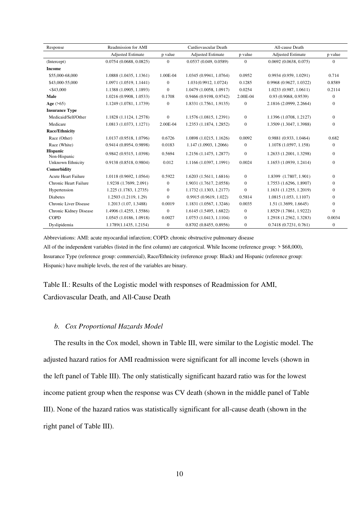| Response                        | Readmission for AMI      | Cardiovascular Death |                          |                  | All-cause Death          |                |
|---------------------------------|--------------------------|----------------------|--------------------------|------------------|--------------------------|----------------|
|                                 | <b>Adjusted Estimate</b> | p value              | <b>Adjusted Estimate</b> | p value          | <b>Adjusted Estimate</b> | p value        |
| (Intercept)                     | 0.0754(0.0688, 0.0825)   | $\Omega$             | 0.0537 (0.049, 0.0589)   | $\mathbf{0}$     | 0.0692(0.0638, 0.075)    | $\overline{0}$ |
| <b>Income</b>                   |                          |                      |                          |                  |                          |                |
| \$55,000-68,000                 | 1.0888 (1.0435, 1.1361)  | 1.00E-04             | 1.0345 (0.9941, 1.0764)  | 0.0952           | 0.9934(0.959, 1.0291)    | 0.714          |
| \$43,000-55,000                 | 1.0971 (1.0519, 1.1441)  | $\mathbf{0}$         | 1.031(0.9912, 1.0724)    | 0.1285           | 0.9968 (0.9627, 1.0322)  | 0.8589         |
| $<$ \$43,000                    | 1.1388 (1.0905, 1.1893)  | $\mathbf{0}$         | 1.0479 (1.0058, 1.0917)  | 0.0254           | 1.0233(0.987, 1.0611)    | 0.2114         |
| Male                            | 1.0216 (0.9908, 1.0533)  | 0.1708               | 0.9466 (0.9198, 0.9742)  | 2.00E-04         | 0.93 (0.9068, 0.9539)    | $\mathbf{0}$   |
| Age $(565)$                     | 1.1249 (1.0781, 1.1739)  | $\mathbf{0}$         | 1.8331 (1.7561, 1.9135)  | $\boldsymbol{0}$ | 2.1816 (2.0999, 2.2664)  | $\mathbf{0}$   |
| <b>Insurance Type</b>           |                          |                      |                          |                  |                          |                |
| Medicaid/Self/Other             | 1.1828 (1.1124, 1.2578)  | $\mathbf{0}$         | 1.1576 (1.0815, 1.2391)  | $\boldsymbol{0}$ | 1.1396 (1.0708, 1.2127)  | $\mathbf{0}$   |
| Medicare                        | 1.0813 (1.0373, 1.1271)  | 2.00E-04             | 1.2353 (1.1874, 1.2852)  | $\mathbf{0}$     | 1.3509 (1.3047, 1.3988)  | $\Omega$       |
| <b>Race/Ethnicity</b>           |                          |                      |                          |                  |                          |                |
| Race (Other)                    | 1.0137 (0.9518, 1.0796)  | 0.6726               | 1.0898 (1.0215, 1.1626)  | 0.0092           | 0.9881(0.933, 1.0464)    | 0.682          |
| Race (White)                    | 0.9414 (0.8954, 0.9898)  | 0.0183               | 1.147 (1.0903, 1.2066)   | $\mathbf{0}$     | 1.1078 (1.0597, 1.158)   | $\mathbf{0}$   |
| <b>Hispanic</b><br>Non-Hispanic | 0.9842 (0.9315, 1.0398)  | 0.5694               | 1.2156 (1.1475, 1.2877)  | $\mathbf{0}$     | 1.2633 (1.2001, 1.3298)  | $\overline{0}$ |
| <b>Unknown Ethnicity</b>        | 0.9138 (0.8518, 0.9804)  | 0.012                | 1.1166 (1.0397, 1.1991)  | 0.0024           | 1.1653 (1.0939, 1.2414)  | $\overline{0}$ |
| Comorbidity                     |                          |                      |                          |                  |                          |                |
| <b>Acute Heart Failure</b>      | 1.0118 (0.9692, 1.0564)  | 0.5922               | 1.6203 (1.5611, 1.6816)  | $\overline{0}$   | 1.8399 (1.7807, 1.901)   | $\Omega$       |
| Chronic Heart Failure           | 1.9238 (1.7699, 2.091)   | $\mathbf{0}$         | 1.9031 (1.7617, 2.0558)  | $\mathbf{0}$     | 1.7553 (1.6296, 1.8907)  | $\mathbf{0}$   |
| Hypertension                    | 1.225 (1.1783, 1.2735)   | $\mathbf{0}$         | 1.1732 (1.1303, 1.2177)  | $\mathbf{0}$     | 1.1631 (1.1255, 1.2019)  | $\mathbf{0}$   |
| <b>Diabetes</b>                 | 1.2503 (1.2119, 1.29)    | $\Omega$             | 0.9915(0.9619, 1.022)    | 0.5814           | 1.0815 (1.053, 1.1107)   | $\mathbf{0}$   |
| Chronic Liver Disease           | 1.2013 (1.07, 1.3488)    | 0.0019               | 1.1831 (1.0567, 1.3246)  | 0.0035           | 1.51(1.3699, 1.6645)     | $\mathbf{0}$   |
| Chronic Kidney Disease          | 1.4906 (1.4255, 1.5586)  | $\mathbf{0}$         | 1.6145 (1.5495, 1.6822)  | $\mathbf{0}$     | 1.8529 (1.7861, 1.9222)  | $\Omega$       |
| <b>COPD</b>                     | 1.0545 (1.0186, 1.0918)  | 0.0027               | 1.0753 (1.0413, 1.1104)  | $\boldsymbol{0}$ | 1.2918 (1.2562, 1.3283)  | 0.0034         |
| Dyslipidemia                    | 1.1789(1.1435, 1.2154)   | $\boldsymbol{0}$     | 0.8702(0.8455, 0.8956)   | $\mathbf{0}$     | 0.7418(0.7231, 0.761)    | $\mathbf{0}$   |

Abbreviations: AMI: acute myocardial infarction; COPD: chronic obstructive pulmonary disease All of the independent variables (listed in the first column) are categorical. While Income (reference group: > \$68,000), Insurance Type (reference group: commercial), Race/Ethnicity (reference group: Black) and Hispanic (reference group: Hispanic) have multiple levels, the rest of the variables are binary.

Table II.: Results of the Logistic model with responses of Readmission for AMI, Cardiovascular Death, and All-Cause Death

#### *b. Cox Proportional Hazards Model*

 The results in the Cox model, shown in Table III, were similar to the Logistic model. The adjusted hazard ratios for AMI readmission were significant for all income levels (shown in the left panel of Table III). The only statistically significant hazard ratio was for the lowest income patient group when the response was CV death (shown in the middle panel of Table III). None of the hazard ratios was statistically significant for all-cause death (shown in the right panel of Table III).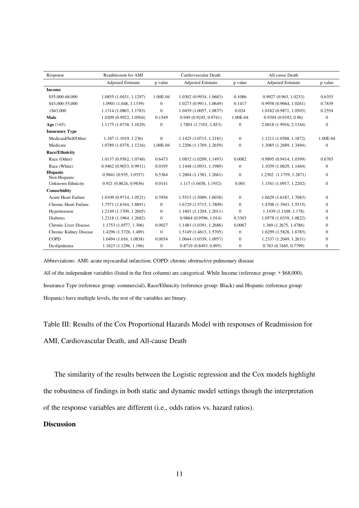| Response                        | Readmission for AMI      | Cardiovascular Death |                          |                  | All-cause Death          |                |
|---------------------------------|--------------------------|----------------------|--------------------------|------------------|--------------------------|----------------|
|                                 | <b>Adjusted Estimate</b> | p value              | <b>Adjusted Estimate</b> | p value          | <b>Adjusted Estimate</b> | p value        |
| <b>Income</b>                   |                          |                      |                          |                  |                          |                |
| \$55,000-68,000                 | 1.0855 (1.0431, 1.1297)  | 1.00E-04             | 1.0302 (0.9934, 1.0683)  | 0.1086           | 0.9927(0.963, 1.0233)    | 0.6355         |
| \$43,000-55,000                 | 1.0901 (1.048, 1.1339)   | $\Omega$             | 1.0273 (0.9911, 1.0649)  | 0.1417           | 0.9958 (0.9664, 1.0261)  | 0.7839         |
| $<$ \$43,000                    | 1.1314 (1.0865, 1.1783)  | $\Omega$             | 1.0439 (1.0057, 1.0837)  | 0.024            | 1.0182 (0.9871, 1.0503)  | 0.2554         |
| Male                            | 1.0209 (0.9922, 1.0504)  | 0.1549               | 0.949(0.9245, 0.9741)    | 1.00E-04         | 0.9394(0.9192, 0.96)     | $\Omega$       |
| Age $(565)$                     | 1.1175 (1.0738, 1.1629)  | $\theta$             | 1.7801 (1.7101, 1.853)   | $\mathbf{0}$     | 2.0618 (1.9916, 2.1344)  | $\Omega$       |
| <b>Insurance Type</b>           |                          |                      |                          |                  |                          |                |
| Medicaid/Self/Other             | 1.167(1.1019, 1.236)     | $\overline{0}$       | 1.1425 (1.0715, 1.2181)  | $\mathbf{0}$     | 1.1211 (1.0588, 1.1872)  | 1.00E-04       |
| Medicare                        | 1.0789 (1.0378, 1.1216)  | 1.00E-04             | 1.2206 (1.1769, 1.2659)  | $\mathbf{0}$     | 1.3085 (1.2689, 1.3494)  | $\Omega$       |
| <b>Race/Ethnicity</b>           |                          |                      |                          |                  |                          |                |
| Race (Other)                    | 1.0137 (0.9562, 1.0748)  | 0.6473               | 1.0832 (1.0209, 1.1493)  | 0.0082           | 0.9895 (0.9414, 1.0399)  | 0.6765         |
| Race (White)                    | 0.9462(0.9033, 0.9911)   | 0.0195               | 1.1448 (1.0931, 1.1989)  | $\boldsymbol{0}$ | 1.1039 (1.0629, 1.1464)  | $\mathbf{0}$   |
| <b>Hispanic</b><br>Non-Hispanic | 0.9841 (0.935, 1.0357)   | 0.5384               | 1.2004(1.1381, 1.2661)   | $\mathbf{0}$     | 1.2302 (1.1759, 1.2871)  | $\overline{0}$ |
| Unknown Ethnicity               | 0.921 (0.8624, 0.9836)   | 0.0141               | 1.117 (1.0458, 1.1932)   | 0.001            | 1.1541 (1.0917, 1.2202)  | $\Omega$       |
| Comorbidity                     |                          |                      |                          |                  |                          |                |
| <b>Acute Heart Failure</b>      | 1.0109 (0.9714, 1.0521)  | 0.5936               | 1.5515 (1.5009, 1.6038)  | $\mathbf{0}$     | 1.6629 (1.6187, 1.7083)  | $\Omega$       |
| Chronic Heart Failure           | 1.7571 (1.6344, 1.8891)  | $\mathbf{0}$         | 1.6729 (1.5715, 1.7809)  | $\mathbf{0}$     | 1.4708 (1.3943, 1.5515)  | $\Omega$       |
| Hypertension                    | 1.2149 (1.1709, 1.2605)  | $\overline{0}$       | 1.1601(1.1204, 1.2011)   | $\Omega$         | 1.1439 (1.1108, 1.178)   | $\Omega$       |
| <b>Diabetes</b>                 | 1.2318 (1.1964, 1.2682)  | $\Omega$             | 0.9864 (0.9596, 1.014)   | 0.3303           | 1.0578 (1.0339, 1.0822)  | $\Omega$       |
| Chronic Liver Disease           | 1.1753 (1.0577, 1.306)   | 0.0027               | 1.1481 (1.0391, 1.2686)  | 0.0067           | 1.369 (1.2675, 1.4786)   | $\Omega$       |
| Chronic Kidney Disease          | 1.4296 (1.3726, 1.489)   | $\Omega$             | 1.5149 (1.4613, 1.5705)  | $\Omega$         | 1.6299 (1.5828, 1.6785)  | $\Omega$       |
| <b>COPD</b>                     | 1.0494 (1.016, 1.0838)   | 0.0034               | 1.0644 (1.0339, 1.0957)  | $\mathbf{0}$     | 1.2337 (1.2049, 1.2631)  | $\overline{0}$ |
| Dyslipidemia                    | 1.1623 (1.1296, 1.196)   | $\overline{0}$       | 0.8719(0.8493, 0.895)    | $\mathbf{0}$     | 0.763(0.7465, 0.7799)    | $\overline{0}$ |

Abbreviations: AMI: acute myocardial infarction; COPD: chronic obstructive pulmonary disease

All of the independent variables (listed in the first column) are categorical. While Income (reference group: > \$68,000), Insurance Type (reference group: commercial), Race/Ethnicity (reference group: Black) and Hispanic (reference group: Hispanic) have multiple levels, the rest of the variables are binary.

Table III: Results of the Cox Proportional Hazards Model with responses of Readmission for AMI, Cardiovascular Death, and All-cause Death

The similarity of the results between the Logistic regression and the Cox models highlight the robustness of findings in both static and dynamic model settings though the interpretation of the response variables are different (i.e., odds ratios vs. hazard ratios).

### **Discussion**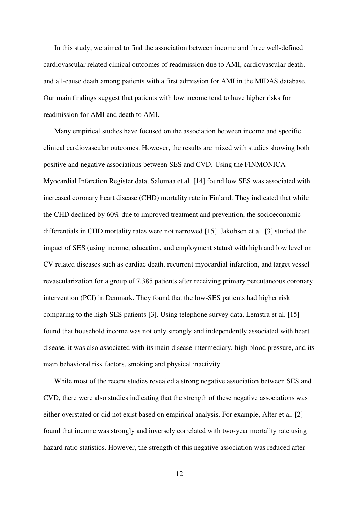In this study, we aimed to find the association between income and three well-defined cardiovascular related clinical outcomes of readmission due to AMI, cardiovascular death, and all-cause death among patients with a first admission for AMI in the MIDAS database. Our main findings suggest that patients with low income tend to have higher risks for readmission for AMI and death to AMI.

Many empirical studies have focused on the association between income and specific clinical cardiovascular outcomes. However, the results are mixed with studies showing both positive and negative associations between SES and CVD. Using the FINMONICA Myocardial Infarction Register data, Salomaa et al. [14] found low SES was associated with increased coronary heart disease (CHD) mortality rate in Finland. They indicated that while the CHD declined by 60% due to improved treatment and prevention, the socioeconomic differentials in CHD mortality rates were not narrowed [15]. Jakobsen et al. [3] studied the impact of SES (using income, education, and employment status) with high and low level on CV related diseases such as cardiac death, recurrent myocardial infarction, and target vessel revascularization for a group of 7,385 patients after receiving primary percutaneous coronary intervention (PCI) in Denmark. They found that the low-SES patients had higher risk comparing to the high-SES patients [3]. Using telephone survey data, Lemstra et al. [15] found that household income was not only strongly and independently associated with heart disease, it was also associated with its main disease intermediary, high blood pressure, and its main behavioral risk factors, smoking and physical inactivity.

While most of the recent studies revealed a strong negative association between SES and CVD, there were also studies indicating that the strength of these negative associations was either overstated or did not exist based on empirical analysis. For example, Alter et al. [2] found that income was strongly and inversely correlated with two-year mortality rate using hazard ratio statistics. However, the strength of this negative association was reduced after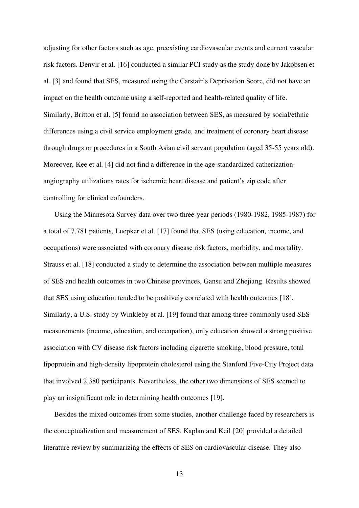adjusting for other factors such as age, preexisting cardiovascular events and current vascular risk factors. Denvir et al. [16] conducted a similar PCI study as the study done by Jakobsen et al. [3] and found that SES, measured using the Carstair's Deprivation Score, did not have an impact on the health outcome using a self-reported and health-related quality of life. Similarly, Britton et al. [5] found no association between SES, as measured by social/ethnic differences using a civil service employment grade, and treatment of coronary heart disease through drugs or procedures in a South Asian civil servant population (aged 35-55 years old). Moreover, Kee et al. [4] did not find a difference in the age-standardized catherizationangiography utilizations rates for ischemic heart disease and patient's zip code after controlling for clinical cofounders.

Using the Minnesota Survey data over two three-year periods (1980-1982, 1985-1987) for a total of 7,781 patients, Luepker et al. [17] found that SES (using education, income, and occupations) were associated with coronary disease risk factors, morbidity, and mortality. Strauss et al. [18] conducted a study to determine the association between multiple measures of SES and health outcomes in two Chinese provinces, Gansu and Zhejiang. Results showed that SES using education tended to be positively correlated with health outcomes [18]. Similarly, a U.S. study by Winkleby et al. [19] found that among three commonly used SES measurements (income, education, and occupation), only education showed a strong positive association with CV disease risk factors including cigarette smoking, blood pressure, total lipoprotein and high-density lipoprotein cholesterol using the Stanford Five-City Project data that involved 2,380 participants. Nevertheless, the other two dimensions of SES seemed to play an insignificant role in determining health outcomes [19].

Besides the mixed outcomes from some studies, another challenge faced by researchers is the conceptualization and measurement of SES. Kaplan and Keil [20] provided a detailed literature review by summarizing the effects of SES on cardiovascular disease. They also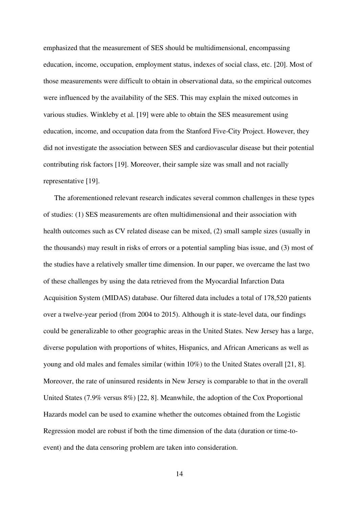emphasized that the measurement of SES should be multidimensional, encompassing education, income, occupation, employment status, indexes of social class, etc. [20]. Most of those measurements were difficult to obtain in observational data, so the empirical outcomes were influenced by the availability of the SES. This may explain the mixed outcomes in various studies. Winkleby et al. [19] were able to obtain the SES measurement using education, income, and occupation data from the Stanford Five-City Project. However, they did not investigate the association between SES and cardiovascular disease but their potential contributing risk factors [19]. Moreover, their sample size was small and not racially representative [19].

The aforementioned relevant research indicates several common challenges in these types of studies: (1) SES measurements are often multidimensional and their association with health outcomes such as CV related disease can be mixed, (2) small sample sizes (usually in the thousands) may result in risks of errors or a potential sampling bias issue, and (3) most of the studies have a relatively smaller time dimension. In our paper, we overcame the last two of these challenges by using the data retrieved from the Myocardial Infarction Data Acquisition System (MIDAS) database. Our filtered data includes a total of 178,520 patients over a twelve-year period (from 2004 to 2015). Although it is state-level data, our findings could be generalizable to other geographic areas in the United States. New Jersey has a large, diverse population with proportions of whites, Hispanics, and African Americans as well as young and old males and females similar (within 10%) to the United States overall [21, 8]. Moreover, the rate of uninsured residents in New Jersey is comparable to that in the overall United States (7.9% versus 8%) [22, 8]. Meanwhile, the adoption of the Cox Proportional Hazards model can be used to examine whether the outcomes obtained from the Logistic Regression model are robust if both the time dimension of the data (duration or time-toevent) and the data censoring problem are taken into consideration.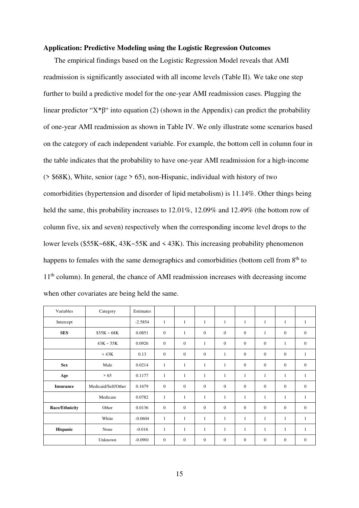#### **Application: Predictive Modeling using the Logistic Regression Outcomes**

The empirical findings based on the Logistic Regression Model reveals that AMI readmission is significantly associated with all income levels (Table II). We take one step further to build a predictive model for the one-year AMI readmission cases. Plugging the linear predictor " $X^*\beta$ " into equation (2) (shown in the Appendix) can predict the probability of one-year AMI readmission as shown in Table IV. We only illustrate some scenarios based on the category of each independent variable. For example, the bottom cell in column four in the table indicates that the probability to have one-year AMI readmission for a high-income ( $>$  \$68K), White, senior (age  $>$  65), non-Hispanic, individual with history of two comorbidities (hypertension and disorder of lipid metabolism) is 11.14%. Other things being held the same, this probability increases to 12.01%, 12.09% and 12.49% (the bottom row of column five, six and seven) respectively when the corresponding income level drops to the lower levels (\$55K~68K, 43K~55K and < 43K). This increasing probability phenomenon happens to females with the same demographics and comorbidities (bottom cell from 8<sup>th</sup> to 11<sup>th</sup> column). In general, the chance of AMI readmission increases with decreasing income when other covariates are being held the same.

| Variables             | Category            | Estimates |                  |              |              |                  |                  |                  |                  |              |
|-----------------------|---------------------|-----------|------------------|--------------|--------------|------------------|------------------|------------------|------------------|--------------|
| Intercept             |                     | $-2.5854$ | $\mathbf{1}$     | 1            | $\mathbf{1}$ | 1                | $\mathbf{1}$     | $\mathbf{1}$     | $\mathbf{1}$     | 1            |
| <b>SES</b>            | $$55K - 68K$        | 0.0851    | $\mathbf{0}$     | 1            | $\mathbf{0}$ | $\mathbf{0}$     | $\mathbf{0}$     | $\mathbf{1}$     | $\mathbf{0}$     | $\mathbf{0}$ |
|                       | $43K - 55K$         | 0.0926    | $\boldsymbol{0}$ | $\mathbf{0}$ | $\mathbf{1}$ | $\mathbf{0}$     | $\mathbf{0}$     | $\boldsymbol{0}$ | 1                | $\mathbf{0}$ |
|                       | $<$ 43K             | 0.13      | $\mathbf{0}$     | $\mathbf{0}$ | $\mathbf{0}$ | 1                | $\mathbf{0}$     | $\overline{0}$   | $\mathbf{0}$     | $\mathbf{1}$ |
| <b>Sex</b>            | Male                | 0.0214    | $\mathbf{1}$     | $\mathbf{1}$ | $\mathbf{1}$ | 1                | $\mathbf{0}$     | $\boldsymbol{0}$ | $\mathbf{0}$     | $\mathbf{0}$ |
| Age                   | >65                 | 0.1177    | $\mathbf{1}$     | $\mathbf{1}$ | $\mathbf{1}$ | $\mathbf{1}$     | $\mathbf{1}$     | $\mathbf{1}$     | $\mathbf{1}$     | $\mathbf{1}$ |
| <b>Insurance</b>      | Medicaid/Self/Other | 0.1679    | $\boldsymbol{0}$ | $\mathbf{0}$ | $\mathbf{0}$ | $\boldsymbol{0}$ | $\mathbf{0}$     | $\boldsymbol{0}$ | $\boldsymbol{0}$ | $\mathbf{0}$ |
|                       | Medicare            | 0.0782    | $\mathbf{1}$     | $\mathbf{1}$ | $\mathbf{1}$ | 1                | 1                | 1                | $\mathbf{1}$     | $\mathbf{1}$ |
| <b>Race/Ethnicity</b> | Other               | 0.0136    | $\mathbf{0}$     | $\mathbf{0}$ | $\mathbf{0}$ | $\mathbf{0}$     | $\mathbf{0}$     | $\overline{0}$   | $\mathbf{0}$     | $\mathbf{0}$ |
|                       | White               | $-0.0604$ | $\mathbf{1}$     | 1            | 1            | 1                | 1                | $\mathbf{1}$     | 1                | 1            |
| Hispanic              | None                | $-0.016$  | $\mathbf{1}$     | 1            | 1            | 1                | 1                | 1                | 1                | 1            |
|                       | Unknown             | $-0.0901$ | $\boldsymbol{0}$ | $\mathbf{0}$ | $\mathbf{0}$ | $\mathbf{0}$     | $\boldsymbol{0}$ | $\boldsymbol{0}$ | $\mathbf{0}$     | $\mathbf{0}$ |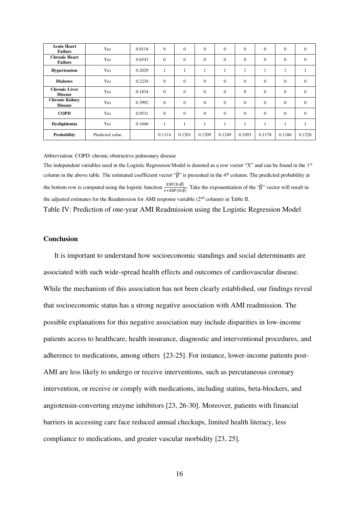| <b>Acute Heart</b><br><b>Failure</b>    | Yes             | 0.0118 | $\mathbf{0}$ | $\Omega$ | $\mathbf{0}$ | $\mathbf{0}$ | $\mathbf{0}$   | $\mathbf{0}$ | $\mathbf{0}$ | $\mathbf{0}$ |
|-----------------------------------------|-----------------|--------|--------------|----------|--------------|--------------|----------------|--------------|--------------|--------------|
| <b>Chronic Heart</b><br><b>Failure</b>  | Yes             | 0.6543 | $\mathbf{0}$ | $\theta$ | $\mathbf{0}$ | $\mathbf{0}$ | $\overline{0}$ | $\mathbf{0}$ | $\mathbf{0}$ | $\mathbf{0}$ |
| <b>Hypertension</b>                     | Yes             | 0.2029 | -1           |          | -1           |              | 1              |              |              |              |
| <b>Diabetes</b>                         | Yes             | 0.2234 | $\mathbf{0}$ | $\Omega$ | $\mathbf{0}$ | $\mathbf{0}$ | $\mathbf{0}$   | $\mathbf{0}$ | $\mathbf{0}$ | $\mathbf{0}$ |
| <b>Chronic Liver</b><br><b>Disease</b>  | Yes             | 0.1834 | $\mathbf{0}$ | $\Omega$ | $\mathbf{0}$ | $\mathbf{0}$ | $\theta$       | $\mathbf{0}$ | $\mathbf{0}$ | $\mathbf{0}$ |
| <b>Chronic Kidney</b><br><b>Disease</b> | Yes             | 0.3992 | $\mathbf{0}$ | $\Omega$ | $\mathbf{0}$ | $\mathbf{0}$ | $\mathbf{0}$   | $\mathbf{0}$ | $\mathbf{0}$ | $\mathbf{0}$ |
| <b>COPD</b>                             | Yes             | 0.0531 | $\mathbf{0}$ | $\Omega$ | $\mathbf{0}$ | $\Omega$     | $\overline{0}$ | $\Omega$     | $\mathbf{0}$ | $\Omega$     |
| Dyslipidemia                            | Yes             | 0.1646 | л.           |          | ш            |              | 1              |              |              |              |
| Probability                             | Predicted value |        | 0.1114       | 0.1201   | 0.1209       | 0.1249       | 0.1093         | 0.1178       | 0.1186       | 0.1226       |

Abbreviation: COPD: chronic obstructive pulmonary disease

The independent variables used in the Logistic Regression Model is denoted as a row vector "X" and can be found in the 1st column in the above table. The estimated coefficient vector "β̂" is presented in the 4th column. The predicted probability at the bottom row is computed using the logistic function  $\frac{\text{EXP}(X * \hat{\beta})}{1 + \text{EXP}(X * \hat{\beta})}$ . Take the exponentiation of the " $\hat{\beta}$ " vector will result in the adjusted estimates for the Readmission for AMI response variable (2nd column) in Table II.

Table IV: Prediction of one-year AMI Readmission using the Logistic Regression Model

### **Conclusion**

 It is important to understand how socioeconomic standings and social determinants are associated with such wide-spread health effects and outcomes of cardiovascular disease. While the mechanism of this association has not been clearly established, our findings reveal that socioeconomic status has a strong negative association with AMI readmission. The possible explanations for this negative association may include disparities in low-income patients access to healthcare, health insurance, diagnostic and interventional procedures, and adherence to medications, among others [23-25]. For instance, lower-income patients post-AMI are less likely to undergo or receive interventions, such as percutaneous coronary intervention, or receive or comply with medications, including statins, beta-blockers, and angiotensin-converting enzyme inhibitors [23, 26-30]. Moreover, patients with financial barriers in accessing care face reduced annual checkups, limited health literacy, less compliance to medications, and greater vascular morbidity [23, 25].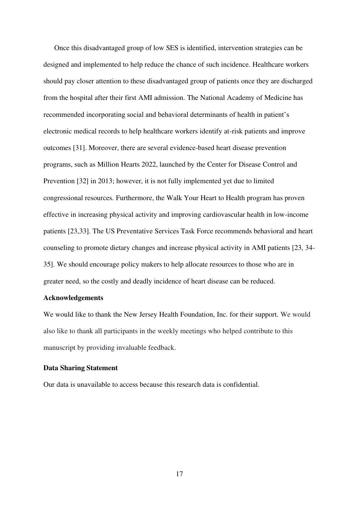Once this disadvantaged group of low SES is identified, intervention strategies can be designed and implemented to help reduce the chance of such incidence. Healthcare workers should pay closer attention to these disadvantaged group of patients once they are discharged from the hospital after their first AMI admission. The National Academy of Medicine has recommended incorporating social and behavioral determinants of health in patient's electronic medical records to help healthcare workers identify at-risk patients and improve outcomes [31]. Moreover, there are several evidence-based heart disease prevention programs, such as Million Hearts 2022, launched by the Center for Disease Control and Prevention [32] in 2013; however, it is not fully implemented yet due to limited congressional resources. Furthermore, the Walk Your Heart to Health program has proven effective in increasing physical activity and improving cardiovascular health in low-income patients [23,33]. The US Preventative Services Task Force recommends behavioral and heart counseling to promote dietary changes and increase physical activity in AMI patients [23, 34- 35]. We should encourage policy makers to help allocate resources to those who are in greater need, so the costly and deadly incidence of heart disease can be reduced.

#### **Acknowledgements**

We would like to thank the New Jersey Health Foundation, Inc. for their support. We would also like to thank all participants in the weekly meetings who helped contribute to this manuscript by providing invaluable feedback.

#### **Data Sharing Statement**

Our data is unavailable to access because this research data is confidential.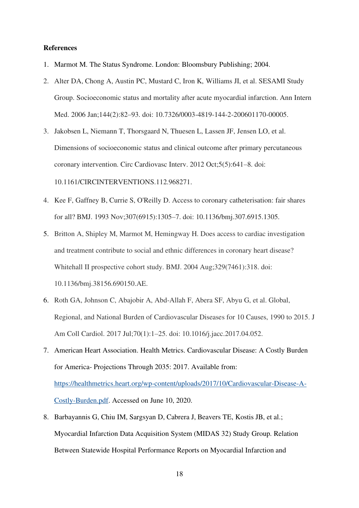#### **References**

- 1. Marmot M. The Status Syndrome. London: Bloomsbury Publishing; 2004.
- 2. Alter DA, Chong A, Austin PC, Mustard C, Iron K, Williams JI, et al. SESAMI Study Group. Socioeconomic status and mortality after acute myocardial infarction. Ann Intern Med. 2006 Jan;144(2):82–93. doi: 10.7326/0003-4819-144-2-200601170-00005.
- 3. Jakobsen L, Niemann T, Thorsgaard N, Thuesen L, Lassen JF, Jensen LO, et al. Dimensions of socioeconomic status and clinical outcome after primary percutaneous coronary intervention. Circ Cardiovasc Interv. 2012 Oct;5(5):641–8. doi: 10.1161/CIRCINTERVENTIONS.112.968271.
- 4. Kee F, Gaffney B, Currie S, O'Reilly D. Access to coronary catheterisation: fair shares for all? BMJ. 1993 Nov;307(6915):1305–7. doi: 10.1136/bmj.307.6915.1305.
- 5. Britton A, Shipley M, Marmot M, Hemingway H. Does access to cardiac investigation and treatment contribute to social and ethnic differences in coronary heart disease? Whitehall II prospective cohort study. BMJ. 2004 Aug;329(7461):318. doi: 10.1136/bmj.38156.690150.AE.
- 6. Roth GA, Johnson C, Abajobir A, Abd-Allah F, Abera SF, Abyu G, et al. Global, Regional, and National Burden of Cardiovascular Diseases for 10 Causes, 1990 to 2015. J Am Coll Cardiol. 2017 Jul;70(1):1–25. doi: 10.1016/j.jacc.2017.04.052.
- 7. American Heart Association. Health Metrics. Cardiovascular Disease: A Costly Burden for America- Projections Through 2035: 2017. Available from: https://healthmetrics.heart.org/wp-content/uploads/2017/10/Cardiovascular-Disease-A-Costly-Burden.pdf. Accessed on June 10, 2020.
- 8. Barbayannis G, Chiu IM, Sargsyan D, Cabrera J, Beavers TE, Kostis JB, et al.; Myocardial Infarction Data Acquisition System (MIDAS 32) Study Group. Relation Between Statewide Hospital Performance Reports on Myocardial Infarction and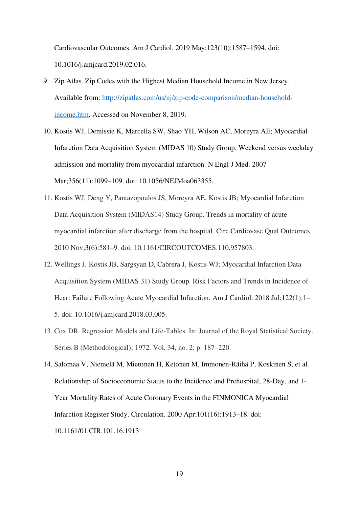Cardiovascular Outcomes. Am J Cardiol. 2019 May;123(10):1587–1594. doi: 10.1016/j.amjcard.2019.02.016.

- 9. Zip Atlas. Zip Codes with the Highest Median Household Income in New Jersey. Available from: http://zipatlas.com/us/nj/zip-code-comparison/median-householdincome.htm. Accessed on November 8, 2019.
- 10. Kostis WJ, Demissie K, Marcella SW, Shao YH, Wilson AC, Moreyra AE; Myocardial Infarction Data Acquisition System (MIDAS 10) Study Group. Weekend versus weekday admission and mortality from myocardial infarction. N Engl J Med. 2007 Mar;356(11):1099–109. doi: 10.1056/NEJMoa063355.
- 11. Kostis WJ, Deng Y, Pantazopoulos JS, Moreyra AE, Kostis JB; Myocardial Infarction Data Acquisition System (MIDAS14) Study Group. Trends in mortality of acute myocardial infarction after discharge from the hospital. Circ Cardiovasc Qual Outcomes. 2010 Nov;3(6):581–9. doi: 10.1161/CIRCOUTCOMES.110.957803.
- 12. Wellings J, Kostis JB, Sargsyan D, Cabrera J, Kostis WJ; Myocardial Infarction Data Acquisition System (MIDAS 31) Study Group. Risk Factors and Trends in Incidence of Heart Failure Following Acute Myocardial Infarction. Am J Cardiol. 2018 Jul;122(1):1– 5. doi: 10.1016/j.amjcard.2018.03.005.
- 13. Cox DR. Regression Models and Life-Tables. In: Journal of the Royal Statistical Society. Series B (Methodological); 1972. Vol. 34, no. 2; p. 187–220.

14. Salomaa V, Niemelä M, Miettinen H, Ketonen M, Immonen-Räihä P, Koskinen S, et al. Relationship of Socioeconomic Status to the Incidence and Prehospital, 28-Day, and 1- Year Mortality Rates of Acute Coronary Events in the FINMONICA Myocardial Infarction Register Study. Circulation. 2000 Apr;101(16):1913–18. doi: 10.1161/01.CIR.101.16.1913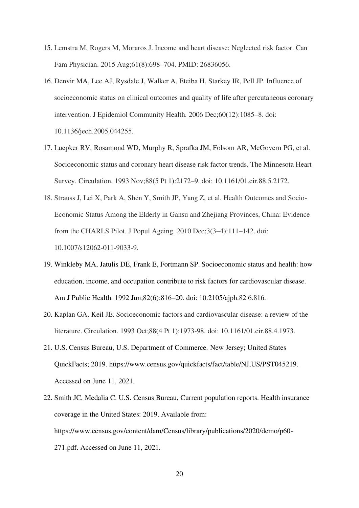- 15. Lemstra M, Rogers M, Moraros J. Income and heart disease: Neglected risk factor. Can Fam Physician. 2015 Aug;61(8):698–704. PMID: 26836056.
- 16. Denvir MA, Lee AJ, Rysdale J, Walker A, Eteiba H, Starkey IR, Pell JP. Influence of socioeconomic status on clinical outcomes and quality of life after percutaneous coronary intervention. J Epidemiol Community Health. 2006 Dec;60(12):1085–8. doi: 10.1136/jech.2005.044255.
- 17. Luepker RV, Rosamond WD, Murphy R, Sprafka JM, Folsom AR, McGovern PG, et al. Socioeconomic status and coronary heart disease risk factor trends. The Minnesota Heart Survey. Circulation. 1993 Nov;88(5 Pt 1):2172–9. doi: 10.1161/01.cir.88.5.2172.
- 18. Strauss J, Lei X, Park A, Shen Y, Smith JP, Yang Z, et al. Health Outcomes and Socio-Economic Status Among the Elderly in Gansu and Zhejiang Provinces, China: Evidence from the CHARLS Pilot. J Popul Ageing. 2010 Dec;3(3–4):111–142. doi: 10.1007/s12062-011-9033-9.
- 19. Winkleby MA, Jatulis DE, Frank E, Fortmann SP. Socioeconomic status and health: how education, income, and occupation contribute to risk factors for cardiovascular disease. Am J Public Health. 1992 Jun;82(6):816–20. doi: 10.2105/ajph.82.6.816.
- 20. Kaplan GA, Keil JE. Socioeconomic factors and cardiovascular disease: a review of the literature. Circulation. 1993 Oct;88(4 Pt 1):1973-98. doi: 10.1161/01.cir.88.4.1973.
- 21. U.S. Census Bureau, U.S. Department of Commerce. New Jersey; United States QuickFacts; 2019. https://www.census.gov/quickfacts/fact/table/NJ,US/PST045219. Accessed on June 11, 2021.
- 22. Smith JC, Medalia C. U.S. Census Bureau, Current population reports. Health insurance coverage in the United States: 2019. Available from: https://www.census.gov/content/dam/Census/library/publications/2020/demo/p60- 271.pdf. Accessed on June 11, 2021.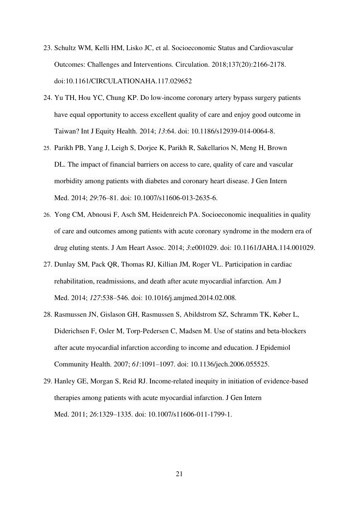- 23. Schultz WM, Kelli HM, Lisko JC, et al. Socioeconomic Status and Cardiovascular Outcomes: Challenges and Interventions. Circulation. 2018;137(20):2166-2178. doi:10.1161/CIRCULATIONAHA.117.029652
- 24. Yu TH, Hou YC, Chung KP. Do low-income coronary artery bypass surgery patients have equal opportunity to access excellent quality of care and enjoy good outcome in Taiwan? Int J Equity Health. 2014; *13*:64. doi: 10.1186/s12939-014-0064-8.
- 25. Parikh PB, Yang J, Leigh S, Dorjee K, Parikh R, Sakellarios N, Meng H, Brown DL. The impact of financial barriers on access to care, quality of care and vascular morbidity among patients with diabetes and coronary heart disease. J Gen Intern Med. 2014; *29*:76–81. doi: 10.1007/s11606-013-2635-6.
- 26. Yong CM, Abnousi F, Asch SM, Heidenreich PA. Socioeconomic inequalities in quality of care and outcomes among patients with acute coronary syndrome in the modern era of drug eluting stents. J Am Heart Assoc. 2014; *3*:e001029. doi: 10.1161/JAHA.114.001029.
- 27. Dunlay SM, Pack QR, Thomas RJ, Killian JM, Roger VL. Participation in cardiac rehabilitation, readmissions, and death after acute myocardial infarction. Am J Med. 2014; *127*:538–546. doi: 10.1016/j.amjmed.2014.02.008.
- 28. Rasmussen JN, Gislason GH, Rasmussen S, Abildstrom SZ, Schramm TK, Køber L, Diderichsen F, Osler M, Torp-Pedersen C, Madsen M. Use of statins and beta-blockers after acute myocardial infarction according to income and education. J Epidemiol Community Health. 2007; *61*:1091–1097. doi: 10.1136/jech.2006.055525.
- 29. Hanley GE, Morgan S, Reid RJ. Income-related inequity in initiation of evidence-based therapies among patients with acute myocardial infarction. J Gen Intern Med. 2011; *26*:1329–1335. doi: 10.1007/s11606-011-1799-1.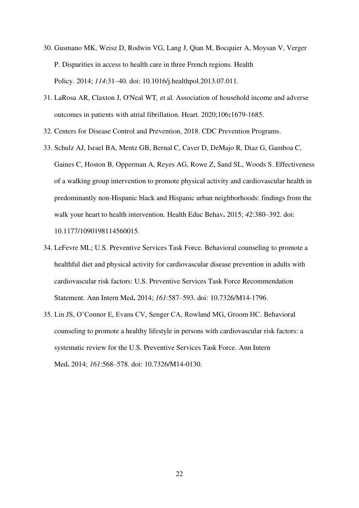- 30. Gusmano MK, Weisz D, Rodwin VG, Lang J, Qian M, Bocquier A, Moysan V, Verger P. Disparities in access to health care in three French regions. Health Policy. 2014; *114*:31–40. doi: 10.1016/j.healthpol.2013.07.011.
- 31. LaRosa AR, Claxton J, O'Neal WT*,* et al*.* Association of household income and adverse outcomes in patients with atrial fibrillation. Heart*.* 2020;106**:**1679-1685.
- 32. Centers for Disease Control and Prevention, 2018. CDC Prevention Programs.
- 33. Schulz AJ, Israel BA, Mentz GB, Bernal C, Caver D, DeMajo R, Diaz G, Gamboa C, Gaines C, Hoston B, Opperman A, Reyes AG, Rowe Z, Sand SL, Woods S. Effectiveness of a walking group intervention to promote physical activity and cardiovascular health in predominantly non-Hispanic black and Hispanic urban neighborhoods: findings from the walk your heart to health intervention. Health Educ Behav**.** 2015; *42*:380–392. doi: 10.1177/1090198114560015.
- 34. LeFevre ML; U.S. Preventive Services Task Force. Behavioral counseling to promote a healthful diet and physical activity for cardiovascular disease prevention in adults with cardiovascular risk factors: U.S. Preventive Services Task Force Recommendation Statement. Ann Intern Med**.** 2014; *161*:587–593. doi: 10.7326/M14-1796.
- 35. Lin JS, O'Connor E, Evans CV, Senger CA, Rowland MG, Groom HC. Behavioral counseling to promote a healthy lifestyle in persons with cardiovascular risk factors: a systematic review for the U.S. Preventive Services Task Force. Ann Intern Med**.** 2014; *161*:568–578. doi: 10.7326/M14-0130.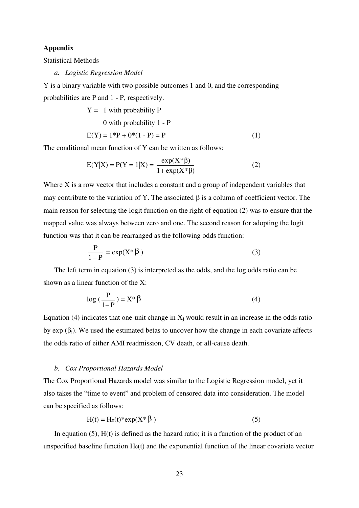## **Appendix**

Statistical Methods

*a. Logistic Regression Model* 

Y is a binary variable with two possible outcomes 1 and 0, and the corresponding probabilities are P and 1 - P, respectively.

$$
Y = 1 \text{ with probability } P
$$
  
0 with probability  $1 - P$   

$$
E(Y) = 1*P + 0*(1 - P) = P
$$
 (1)

The conditional mean function of Y can be written as follows:

$$
E(Y|X) = P(Y = 1|X) = \frac{\exp(X^* \beta)}{1 + \exp(X^* \beta)}
$$
 (2)

Where X is a row vector that includes a constant and a group of independent variables that may contribute to the variation of Y. The associated  $\beta$  is a column of coefficient vector. The main reason for selecting the logit function on the right of equation (2) was to ensure that the mapped value was always between zero and one. The second reason for adopting the logit function was that it can be rearranged as the following odds function:

$$
\frac{P}{1-P} = \exp(X^* \beta)
$$
 (3)

The left term in equation (3) is interpreted as the odds, and the log odds ratio can be shown as a linear function of the X:

$$
\log\left(\frac{P}{1-P}\right) = X^* \beta \tag{4}
$$

Equation (4) indicates that one-unit change in  $X_i$  would result in an increase in the odds ratio by  $\exp(\beta_i)$ . We used the estimated betas to uncover how the change in each covariate affects the odds ratio of either AMI readmission, CV death, or all-cause death.

#### *b. Cox Proportional Hazards Model*

The Cox Proportional Hazards model was similar to the Logistic Regression model, yet it also takes the "time to event" and problem of censored data into consideration. The model can be specified as follows:

$$
H(t) = H_0(t)^* \exp(X^* \beta)
$$
 (5)

In equation  $(5)$ ,  $H(t)$  is defined as the hazard ratio; it is a function of the product of an unspecified baseline function  $H<sub>0</sub>(t)$  and the exponential function of the linear covariate vector